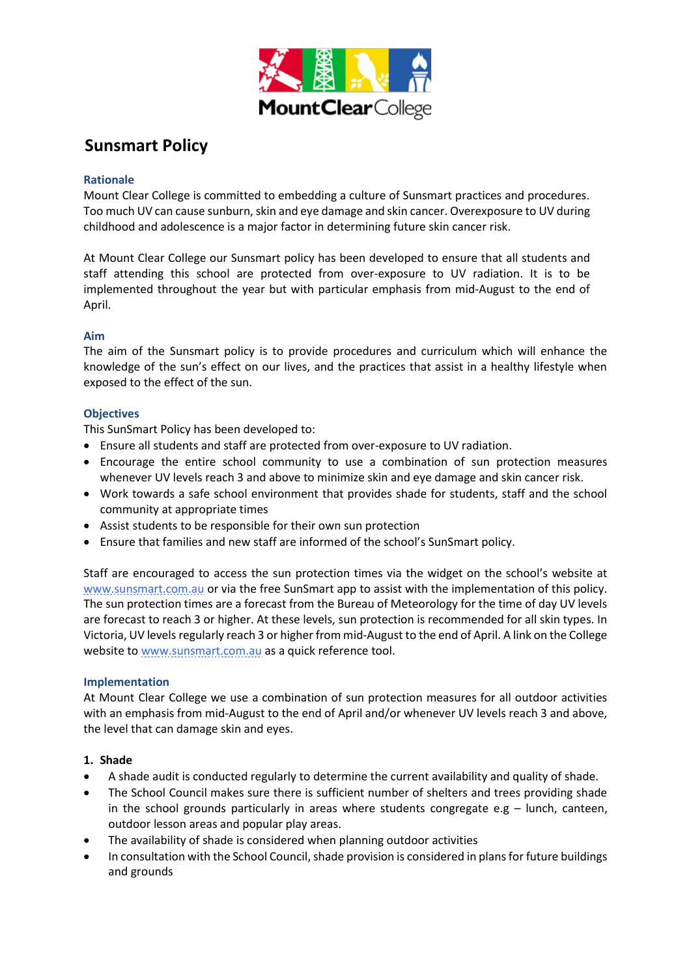

# **Sunsmart Policy**

## **Rationale**

Mount Clear College is committed to embedding a culture of Sunsmart practices and procedures. Too much UV can cause sunburn, skin and eye damage and skin cancer. Overexposure to UV during childhood and adolescence is a major factor in determining future skin cancer risk.

At Mount Clear College our Sunsmart policy has been developed to ensure that all students and staff attending this school are protected from over-exposure to UV radiation. It is to be implemented throughout the year but with particular emphasis from mid-August to the end of April.

## **Aim**

The aim of the Sunsmart policy is to provide procedures and curriculum which will enhance the knowledge of the sun's effect on our lives, and the practices that assist in a healthy lifestyle when exposed to the effect of the sun.

## **Objectives**

This SunSmart Policy has been developed to:

- Ensure all students and staff are protected from over-exposure to UV radiation.
- Encourage the entire school community to use a combination of sun protection measures whenever UV levels reach 3 and above to minimize skin and eye damage and skin cancer risk.
- Work towards a safe school environment that provides shade for students, staff and the school community at appropriate times
- Assist students to be responsible for their own sun protection
- Ensure that families and new staff are informed of the school's SunSmart policy.

Staff are encouraged to access the sun protection times via the widget on the school's website at [www.sunsmart.com.au](http://www.sunsmart.com.au/) or via the free SunSmart app to assist with the implementation of this policy. The sun protection times are a forecast from the Bureau of Meteorology for the time of day UV levels are forecast to reach 3 or higher. At these levels, sun protection is recommended for all skin types. In Victoria, UV levels regularly reach 3 or higher from mid-August to the end of April. A link on the College website t[o www.sunsmart.com.au](http://www.sunsmart.com.au/) as a quick reference tool.

### **Implementation**

At Mount Clear College we use a combination of sun protection measures for all outdoor activities with an emphasis from mid-August to the end of April and/or whenever UV levels reach 3 and above, the level that can damage skin and eyes.

### **1. Shade**

- A shade audit is conducted regularly to determine the current availability and quality of shade.
- The School Council makes sure there is sufficient number of shelters and trees providing shade in the school grounds particularly in areas where students congregate e.g  $-$  lunch, canteen, outdoor lesson areas and popular play areas.
- The availability of shade is considered when planning outdoor activities
- In consultation with the School Council, shade provision is considered in plans for future buildings and grounds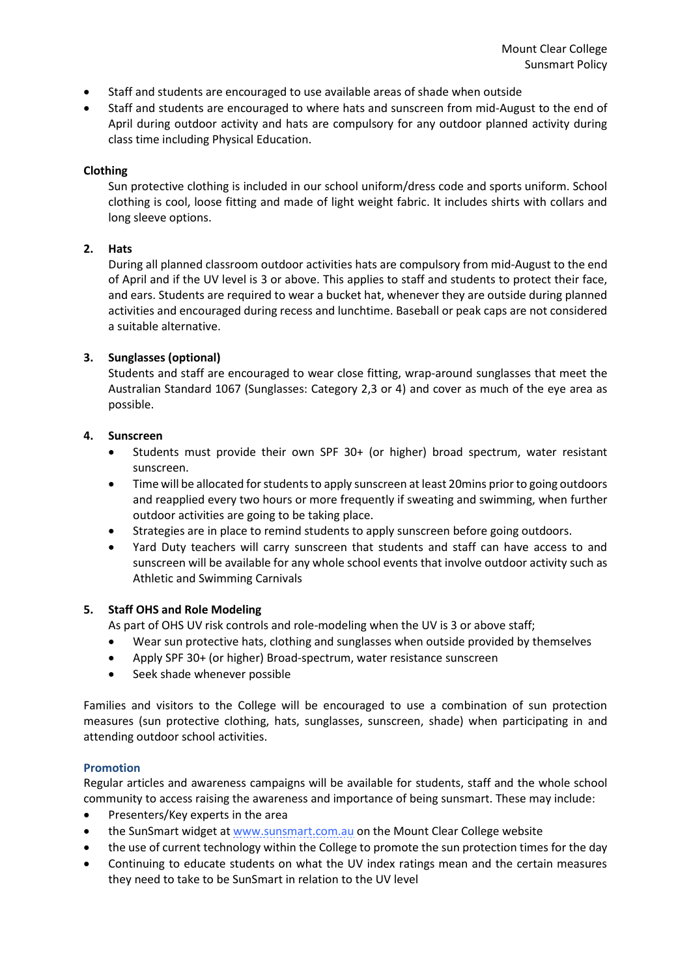- Staff and students are encouraged to use available areas of shade when outside
- Staff and students are encouraged to where hats and sunscreen from mid-August to the end of April during outdoor activity and hats are compulsory for any outdoor planned activity during class time including Physical Education.

#### **Clothing**

Sun protective clothing is included in our school uniform/dress code and sports uniform. School clothing is cool, loose fitting and made of light weight fabric. It includes shirts with collars and long sleeve options.

### **2. Hats**

During all planned classroom outdoor activities hats are compulsory from mid-August to the end of April and if the UV level is 3 or above. This applies to staff and students to protect their face, and ears. Students are required to wear a bucket hat, whenever they are outside during planned activities and encouraged during recess and lunchtime. Baseball or peak caps are not considered a suitable alternative.

### **3. Sunglasses (optional)**

Students and staff are encouraged to wear close fitting, wrap-around sunglasses that meet the Australian Standard 1067 (Sunglasses: Category 2,3 or 4) and cover as much of the eye area as possible.

### **4. Sunscreen**

- Students must provide their own SPF 30+ (or higher) broad spectrum, water resistant sunscreen.
- Time will be allocated for students to apply sunscreen at least 20mins prior to going outdoors and reapplied every two hours or more frequently if sweating and swimming, when further outdoor activities are going to be taking place.
- Strategies are in place to remind students to apply sunscreen before going outdoors.
- Yard Duty teachers will carry sunscreen that students and staff can have access to and sunscreen will be available for any whole school events that involve outdoor activity such as Athletic and Swimming Carnivals

### **5. Staff OHS and Role Modeling**

As part of OHS UV risk controls and role-modeling when the UV is 3 or above staff;

- Wear sun protective hats, clothing and sunglasses when outside provided by themselves
- Apply SPF 30+ (or higher) Broad-spectrum, water resistance sunscreen
- Seek shade whenever possible

Families and visitors to the College will be encouraged to use a combination of sun protection measures (sun protective clothing, hats, sunglasses, sunscreen, shade) when participating in and attending outdoor school activities.

### **Promotion**

Regular articles and awareness campaigns will be available for students, staff and the whole school community to access raising the awareness and importance of being sunsmart. These may include:

- Presenters/Key experts in the area
- the SunSmart widget at [www.sunsmart.com.au](http://www.sunsmart.com.au/) on the Mount Clear College website
- the use of current technology within the College to promote the sun protection times for the day
- Continuing to educate students on what the UV index ratings mean and the certain measures they need to take to be SunSmart in relation to the UV level